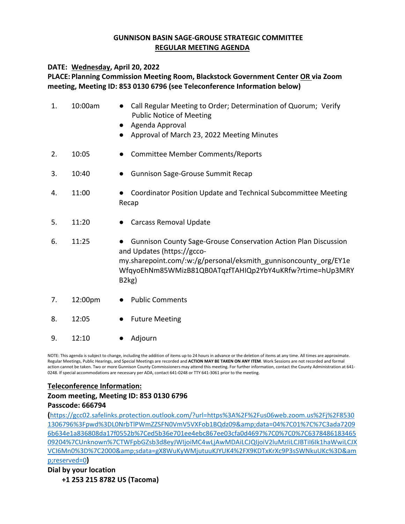### **GUNNISON BASIN SAGE‐GROUSE STRATEGIC COMMITTEE REGULAR MEETING AGENDA**

### **DATE: Wednesday, April 20, 2022**

# **PLACE: Planning Commission Meeting Room, Blackstock Government Center OR via Zoom meeting, Meeting ID: 853 0130 6796 (see Teleconference Information below)**

| 1. | 10:00am | Call Regular Meeting to Order; Determination of Quorum; Verify<br><b>Public Notice of Meeting</b><br>Agenda Approval<br>Approval of March 23, 2022 Meeting Minutes                                                                                         |
|----|---------|------------------------------------------------------------------------------------------------------------------------------------------------------------------------------------------------------------------------------------------------------------|
| 2. | 10:05   | Committee Member Comments/Reports                                                                                                                                                                                                                          |
| 3. | 10:40   | <b>Gunnison Sage-Grouse Summit Recap</b>                                                                                                                                                                                                                   |
| 4. | 11:00   | Coordinator Position Update and Technical Subcommittee Meeting<br>Recap                                                                                                                                                                                    |
| 5. | 11:20   | <b>Carcass Removal Update</b><br>$\bullet$                                                                                                                                                                                                                 |
| 6. | 11:25   | <b>Gunnison County Sage-Grouse Conservation Action Plan Discussion</b><br>and Updates (https://gcco-<br>my.sharepoint.com/:w:/g/personal/eksmith gunnisoncounty org/EY1e<br>WfqyoEhNm85WMizB81QB0ATqzfTAHIQp2YbY4uKRfw?rtime=hUp3MRY<br>B <sub>2</sub> kg) |
| 7. | 12:00pm | <b>Public Comments</b>                                                                                                                                                                                                                                     |

- 8. 12:05 Future Meeting
- 9. 12:10 ● Adjourn

NOTE: This agenda is subject to change, including the addition of items up to 24 hours in advance or the deletion of items at any time. All times are approximate. Regular Meetings, Public Hearings, and Special Meetings are recorded and **ACTION MAY BE TAKEN ON ANY ITEM**. Work Sessions are not recorded and formal action cannot be taken. Two or more Gunnison County Commissioners may attend this meeting. For further information, contact the County Administration at 641-0248. If special accommodations are necessary per ADA, contact 641‐0248 or TTY 641‐3061 prior to the meeting.

### **Teleconference Information:**

## **Zoom meeting, Meeting ID: 853 0130 6796 Passcode: 666794**

**(**https://gcc02.safelinks.protection.outlook.com/?url=https%3A%2F%2Fus06web.zoom.us%2Fj%2F8530 1306796%3Fpwd%3DL0NrbTlPWmZZSFN0VmV5VXFob1BQdz09&data=04%7C01%7C%7C3ada7209 6b634e1a836808da17f0552b%7Ced5b36e701ee4ebc867ee03cfa0d4697%7C0%7C0%7C6378486183465 09204%7CUnknown%7CTWFpbGZsb3d8eyJWIjoiMC4wLjAwMDAiLCJQIjoiV2luMzIiLCJBTiI6Ik1haWwiLCJX VCI6Mn0%3D%7C2000&sdata=gX8WuKyWMjutuuKJYUK4%2FX9KDTxKrXc9P3sSWNkuUKc%3D&am p;reserved=0**)**

**Dial by your location** 

 **+1 253 215 8782 US (Tacoma)**